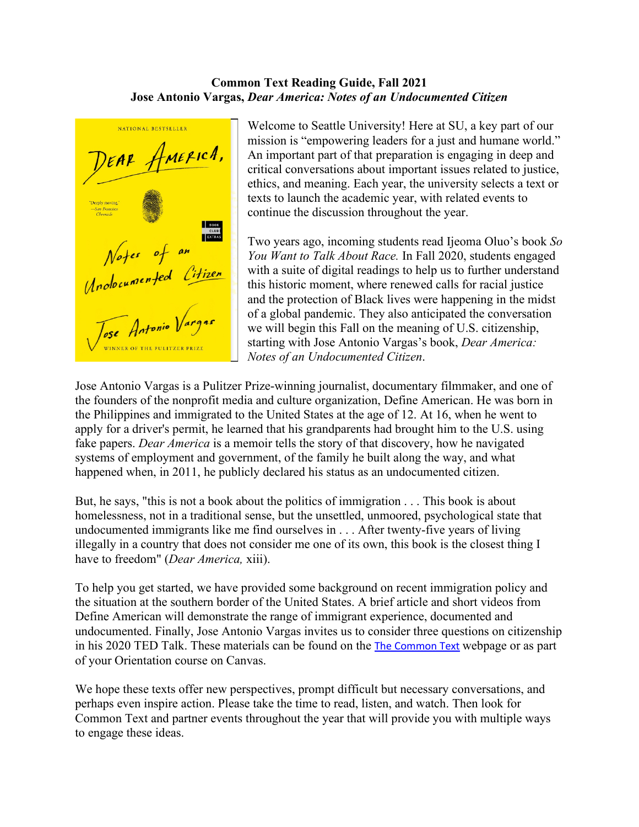## **Common Text Reading Guide, Fall 2021 Jose Antonio Vargas,** *Dear America: Notes of an Undocumented Citizen*

NATIONAL BESTSELLER DEAR AMERICA, Summails<br>
Notes of an<br>
Unclocumented Citizen<br>
Jose Antonio Vargas **INNER OF THE PULITZER PRIZE** 

Welcome to Seattle University! Here at SU, a key part of our mission is "empowering leaders for a just and humane world." An important part of that preparation is engaging in deep and critical conversations about important issues related to justice, ethics, and meaning. Each year, the university selects a text or texts to launch the academic year, with related events to continue the discussion throughout the year.

Two years ago, incoming students read Ijeoma Oluo's book *So You Want to Talk About Race.* In Fall 2020, students engaged with a suite of digital readings to help us to further understand this historic moment, where renewed calls for racial justice and the protection of Black lives were happening in the midst of a global pandemic. They also anticipated the conversation we will begin this Fall on the meaning of U.S. citizenship, starting with Jose Antonio Vargas's book, *Dear America: Notes of an Undocumented Citizen*.

Jose Antonio Vargas is a Pulitzer Prize-winning journalist, documentary filmmaker, and one of the founders of the nonprofit media and culture organization, Define American. He was born in the Philippines and immigrated to the United States at the age of 12. At 16, when he went to apply for a driver's permit, he learned that his grandparents had brought him to the U.S. using fake papers. *Dear America* is a memoir tells the story of that discovery, how he navigated systems of employment and government, of the family he built along the way, and what happened when, in 2011, he publicly declared his status as an undocumented citizen.

But, he says, "this is not a book about the politics of immigration . . . This book is about homelessness, not in a traditional sense, but the unsettled, unmoored, psychological state that undocumented immigrants like me find ourselves in . . . After twenty-five years of living illegally in a country that does not consider me one of its own, this book is the closest thing I have to freedom" (*Dear America,* xiii).

To help you get started, we have provided some background on recent immigration policy and the situation at the southern border of the United States. A brief article and short videos from Define American will demonstrate the range of immigrant experience, documented and undocumented. Finally, Jose Antonio Vargas invites us to consider three questions on citizenship in his 2020 TED Talk. These materials can be found on the [The Common Text](https://www.seattleu.edu/academicaffairs/resources-for-undergraduate-students/the-common-text/) webpage or as part of your Orientation course on Canvas.

We hope these texts offer new perspectives, prompt difficult but necessary conversations, and perhaps even inspire action. Please take the time to read, listen, and watch. Then look for Common Text and partner events throughout the year that will provide you with multiple ways to engage these ideas.